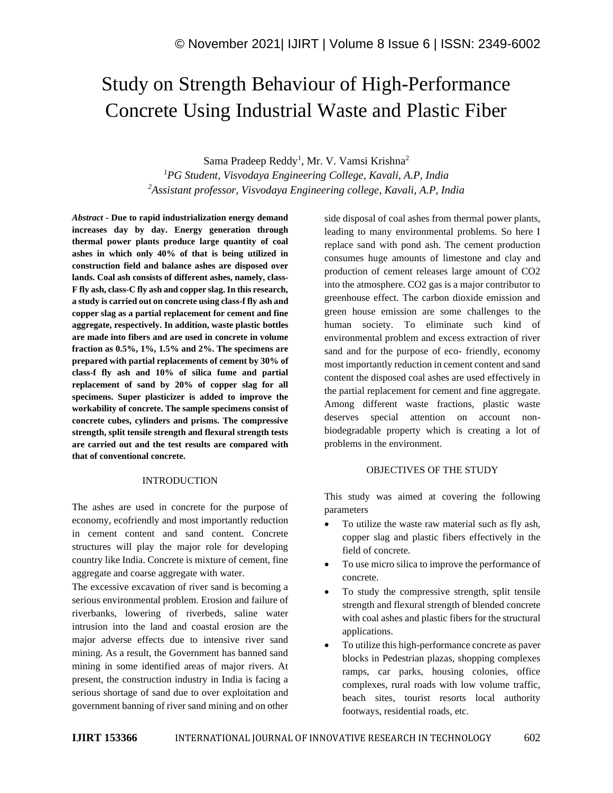# Study on Strength Behaviour of High-Performance Concrete Using Industrial Waste and Plastic Fiber

Sama Pradeep Reddy<sup>1</sup>, Mr. V. Vamsi Krishna<sup>2</sup> *<sup>1</sup>PG Student, Visvodaya Engineering College, Kavali, A.P, India <sup>2</sup>Assistant professor, Visvodaya Engineering college, Kavali, A.P, India*

*Abstract -* **Due to rapid industrialization energy demand increases day by day. Energy generation through thermal power plants produce large quantity of coal ashes in which only 40% of that is being utilized in construction field and balance ashes are disposed over lands. Coal ash consists of different ashes, namely, class-F fly ash, class-C fly ash and copper slag. In this research, a study is carried out on concrete using class-f fly ash and copper slag as a partial replacement for cement and fine aggregate, respectively. In addition, waste plastic bottles are made into fibers and are used in concrete in volume fraction as 0.5%, 1%, 1.5% and 2%. The specimens are prepared with partial replacements of cement by 30% of class-f fly ash and 10% of silica fume and partial replacement of sand by 20% of copper slag for all specimens. Super plasticizer is added to improve the workability of concrete. The sample specimens consist of concrete cubes, cylinders and prisms. The compressive strength, split tensile strength and flexural strength tests are carried out and the test results are compared with that of conventional concrete.**

#### INTRODUCTION

The ashes are used in concrete for the purpose of economy, ecofriendly and most importantly reduction in cement content and sand content. Concrete structures will play the major role for developing country like India. Concrete is mixture of cement, fine aggregate and coarse aggregate with water.

The excessive excavation of river sand is becoming a serious environmental problem. Erosion and failure of riverbanks, lowering of riverbeds, saline water intrusion into the land and coastal erosion are the major adverse effects due to intensive river sand mining. As a result, the Government has banned sand mining in some identified areas of major rivers. At present, the construction industry in India is facing a serious shortage of sand due to over exploitation and government banning of river sand mining and on other

side disposal of coal ashes from thermal power plants, leading to many environmental problems. So here I replace sand with pond ash. The cement production consumes huge amounts of limestone and clay and production of cement releases large amount of CO2 into the atmosphere. CO2 gas is a major contributor to greenhouse effect. The carbon dioxide emission and green house emission are some challenges to the human society. To eliminate such kind of environmental problem and excess extraction of river sand and for the purpose of eco- friendly, economy most importantly reduction in cement content and sand content the disposed coal ashes are used effectively in the partial replacement for cement and fine aggregate. Among different waste fractions, plastic waste deserves special attention on account nonbiodegradable property which is creating a lot of problems in the environment.

#### OBJECTIVES OF THE STUDY

This study was aimed at covering the following parameters

- To utilize the waste raw material such as fly ash, copper slag and plastic fibers effectively in the field of concrete.
- To use micro silica to improve the performance of concrete.
- To study the compressive strength, split tensile strength and flexural strength of blended concrete with coal ashes and plastic fibers for the structural applications.
- To utilize this high-performance concrete as paver blocks in Pedestrian plazas, shopping complexes ramps, car parks, housing colonies, office complexes, rural roads with low volume traffic, beach sites, tourist resorts local authority footways, residential roads, etc.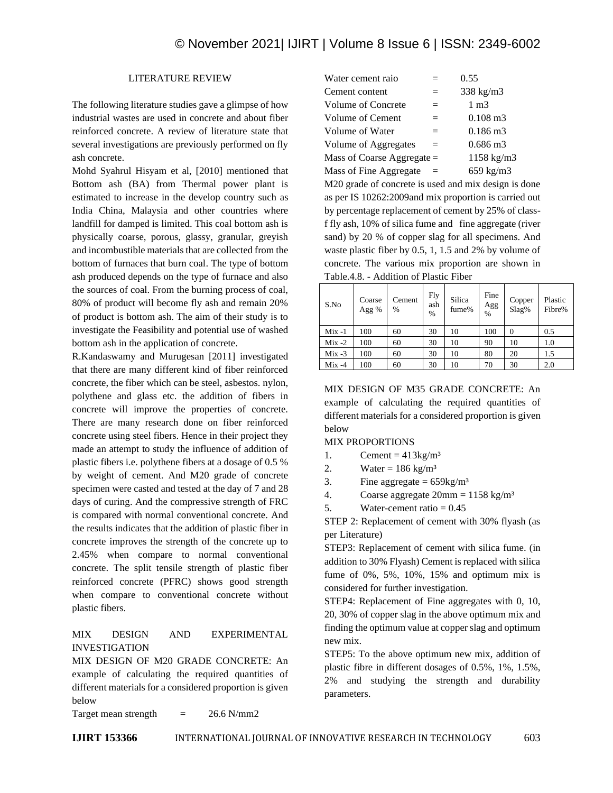# LITERATURE REVIEW

The following literature studies gave a glimpse of how industrial wastes are used in concrete and about fiber reinforced concrete. A review of literature state that several investigations are previously performed on fly ash concrete.

Mohd Syahrul Hisyam et al, [2010] mentioned that Bottom ash (BA) from Thermal power plant is estimated to increase in the develop country such as India China, Malaysia and other countries where landfill for damped is limited. This coal bottom ash is physically coarse, porous, glassy, granular, greyish and incombustible materials that are collected from the bottom of furnaces that burn coal. The type of bottom ash produced depends on the type of furnace and also the sources of coal. From the burning process of coal, 80% of product will become fly ash and remain 20% of product is bottom ash. The aim of their study is to investigate the Feasibility and potential use of washed bottom ash in the application of concrete.

R.Kandaswamy and Murugesan [2011] investigated that there are many different kind of fiber reinforced concrete, the fiber which can be steel, asbestos. nylon, polythene and glass etc. the addition of fibers in concrete will improve the properties of concrete. There are many research done on fiber reinforced concrete using steel fibers. Hence in their project they made an attempt to study the influence of addition of plastic fibers i.e. polythene fibers at a dosage of 0.5 % by weight of cement. And M20 grade of concrete specimen were casted and tested at the day of 7 and 28 days of curing. And the compressive strength of FRC is compared with normal conventional concrete. And the results indicates that the addition of plastic fiber in concrete improves the strength of the concrete up to 2.45% when compare to normal conventional concrete. The split tensile strength of plastic fiber reinforced concrete (PFRC) shows good strength when compare to conventional concrete without plastic fibers.

## MIX DESIGN AND EXPERIMENTAL INVESTIGATION

MIX DESIGN OF M20 GRADE CONCRETE: An example of calculating the required quantities of different materials for a considered proportion is given below

Target mean strength  $= 26.6$  N/mm2

| Water cement raio            |     | 0.55                |
|------------------------------|-----|---------------------|
| Cement content               | $=$ | 338 kg/m3           |
| Volume of Concrete           |     | $1 \text{ m}$ $3$   |
| Volume of Cement             | $=$ | $0.108 \text{ m}$ 3 |
| Volume of Water              | $=$ | $0.186 \text{ m}$ 3 |
| Volume of Aggregates         | $=$ | $0.686 \text{ m}$ 3 |
| Mass of Coarse Aggregate $=$ |     | 1158 kg/m3          |
| Mass of Fine Aggregate       |     | $659$ kg/m3         |
|                              |     |                     |

M20 grade of concrete is used and mix design is done as per IS 10262:2009and mix proportion is carried out by percentage replacement of cement by 25% of classf fly ash, 10% of silica fume and fine aggregate (river sand) by 20 % of copper slag for all specimens. And waste plastic fiber by 0.5, 1, 1.5 and 2% by volume of concrete. The various mix proportion are shown in Table.4.8. - Addition of Plastic Fiber

| S.No     | Coarse<br>Agg % | Cement<br>$\%$ | Fly<br>ash<br>$\%$ | Silica<br>fume% | Fine<br>Agg<br>$\%$ | Copper<br>Slag% | Plastic<br>Fibre% |
|----------|-----------------|----------------|--------------------|-----------------|---------------------|-----------------|-------------------|
| $Mix -1$ | 100             | 60             | 30                 | 10              | 100                 | 0               | 0.5               |
| $Mix -2$ | 100             | 60             | 30                 | 10              | 90                  | 10              | 1.0               |
| $Mix -3$ | 100             | 60             | 30                 | 10              | 80                  | 20              | 1.5               |
| $Mix -4$ | 100             | 60             | 30                 | 10              | 70                  | 30              | 2.0               |

MIX DESIGN OF M35 GRADE CONCRETE: An example of calculating the required quantities of different materials for a considered proportion is given below

#### MIX PROPORTIONS

- 1. Cement =  $413\text{kg/m}^3$
- 2. Water =  $186 \text{ kg/m}^3$

3. Fine aggregate  $= 659 \text{kg/m}^3$ 

4. Coarse aggregate  $20 \text{mm} = 1158 \text{ kg/m}^3$ 

5. Water-cement ratio  $= 0.45$ 

STEP 2: Replacement of cement with 30% flyash (as per Literature)

STEP3: Replacement of cement with silica fume. (in addition to 30% Flyash) Cement is replaced with silica fume of 0%, 5%, 10%, 15% and optimum mix is considered for further investigation.

STEP4: Replacement of Fine aggregates with 0, 10, 20, 30% of copper slag in the above optimum mix and finding the optimum value at copper slag and optimum new mix.

STEP5: To the above optimum new mix, addition of plastic fibre in different dosages of 0.5%, 1%, 1.5%, 2% and studying the strength and durability parameters.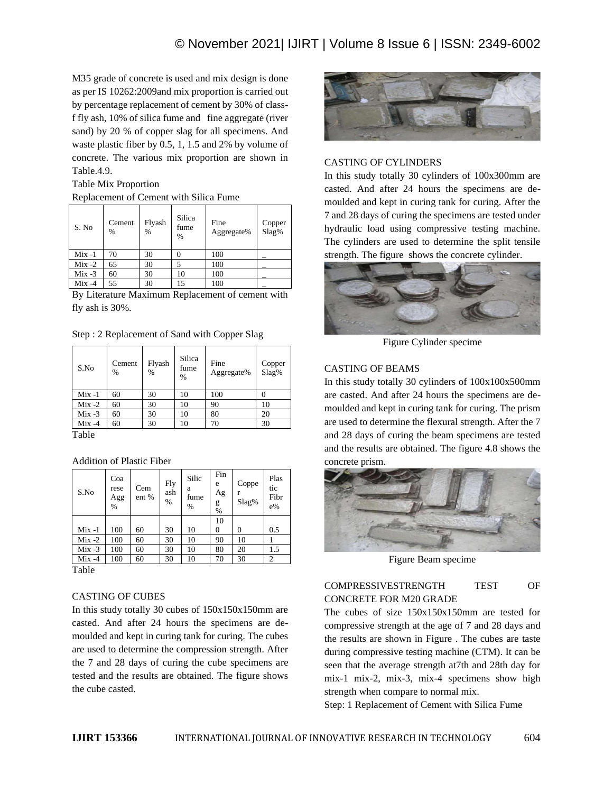M35 grade of concrete is used and mix design is done as per IS 10262:2009and mix proportion is carried out by percentage replacement of cement by 30% of classf fly ash, 10% of silica fume and fine aggregate (river sand) by 20 % of copper slag for all specimens. And waste plastic fiber by 0.5, 1, 1.5 and 2% by volume of concrete. The various mix proportion are shown in Table.4.9.

#### Table Mix Proportion

Replacement of Cement with Silica Fume

| S. No    | Cement<br>% | Flyash<br>$\%$ | Silica<br>fume<br>% | Fine<br>Aggregate% | Copper<br>Slag% |
|----------|-------------|----------------|---------------------|--------------------|-----------------|
| $Mix -1$ | 70          | 30             |                     | 100                |                 |
| $Mix -2$ | 65          | 30             |                     | 100                |                 |
| $Mix -3$ | 60          | 30             | 10                  | 100                |                 |
| $Mix -4$ | 55          | 30             | 15                  | 100                |                 |

By Literature Maximum Replacement of cement with fly ash is 30%.

Step : 2 Replacement of Sand with Copper Slag

| S.No        | Cement<br>% | Flyash<br>$\%$ | Silica<br>fume<br>$\%$ | Fine<br>Aggregate% | Copper<br>Slag% |
|-------------|-------------|----------------|------------------------|--------------------|-----------------|
| $Mix -1$    | 60          | 30             | 10                     | 100                |                 |
| $Mix -2$    | 60          | 30             | 10                     | 90                 | 10              |
| $Mix -3$    | 60          | 30             | 10                     | 80                 | 20              |
| $Mix -4$    | 60          | 30             | 10                     | 70                 | 30              |
| $T = 1.1$ . |             |                |                        |                    |                 |

Table

Addition of Plastic Fiber

| S.No     | Coa<br>rese<br>Agg<br>$\%$ | Cem<br>ent % | Fly<br>ash<br>$\%$ | Silic<br>a<br>fume<br>$\%$ | Fin<br>e<br>Ag<br>g<br>% | Coppe<br>Slag% | Plas<br>tic<br>Fibr<br>$e\%$ |
|----------|----------------------------|--------------|--------------------|----------------------------|--------------------------|----------------|------------------------------|
|          |                            |              |                    |                            | 10                       |                |                              |
| $Mix -1$ | 100                        | 60           | 30                 | 10                         | $\theta$                 | $\theta$       | 0.5                          |
| $Mix -2$ | 100                        | 60           | 30                 | 10                         | 90                       | 10             |                              |
| $Mix -3$ | 100                        | 60           | 30                 | 10                         | 80                       | 20             | 1.5                          |
| $Mix -4$ | 100                        | 60           | 30                 | 10                         | 70                       | 30             | 2                            |
| -- - -   |                            |              |                    |                            |                          |                |                              |

Table

#### CASTING OF CUBES

In this study totally 30 cubes of 150x150x150mm are casted. And after 24 hours the specimens are demoulded and kept in curing tank for curing. The cubes are used to determine the compression strength. After the 7 and 28 days of curing the cube specimens are tested and the results are obtained. The figure shows the cube casted.



#### CASTING OF CYLINDERS

In this study totally 30 cylinders of 100x300mm are casted. And after 24 hours the specimens are demoulded and kept in curing tank for curing. After the 7 and 28 days of curing the specimens are tested under hydraulic load using compressive testing machine. The cylinders are used to determine the split tensile strength. The figure shows the concrete cylinder.



Figure Cylinder specime

# CASTING OF BEAMS

In this study totally 30 cylinders of 100x100x500mm are casted. And after 24 hours the specimens are demoulded and kept in curing tank for curing. The prism are used to determine the flexural strength. After the 7 and 28 days of curing the beam specimens are tested and the results are obtained. The figure 4.8 shows the concrete prism.



Figure Beam specime

# COMPRESSIVESTRENGTH TEST OF CONCRETE FOR M20 GRADE

The cubes of size 150x150x150mm are tested for compressive strength at the age of 7 and 28 days and the results are shown in Figure . The cubes are taste during compressive testing machine (CTM). It can be seen that the average strength at7th and 28th day for mix-1 mix-2, mix-3, mix-4 specimens show high strength when compare to normal mix.

Step: 1 Replacement of Cement with Silica Fume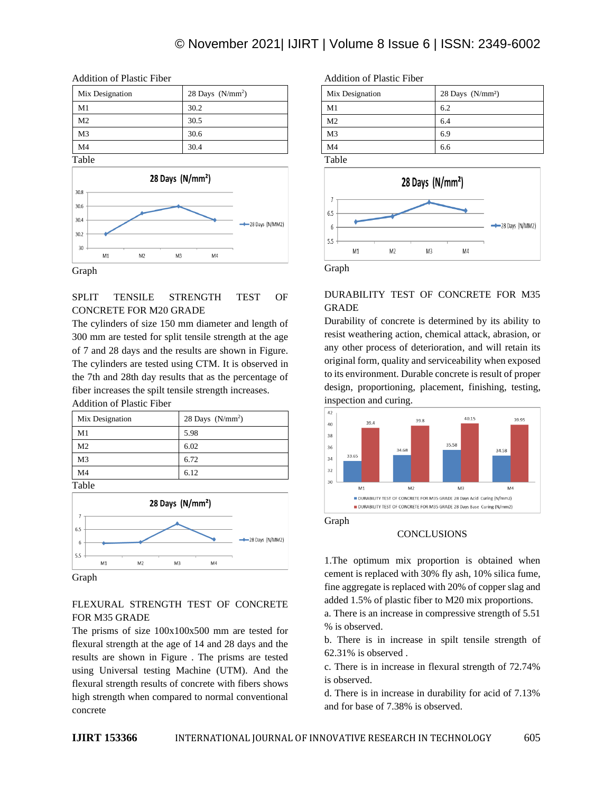# © November 2021| IJIRT | Volume 8 Issue 6 | ISSN: 2349-6002

| Mix Designation | 28 Days $(N/mm^2)$ |
|-----------------|--------------------|
| M1              | 30.2               |
| M <sub>2</sub>  | 30.5               |
| M <sub>3</sub>  | 30.6               |
| M <sub>4</sub>  | 30.4               |
| Table           |                    |



Graph

# SPLIT TENSILE STRENGTH TEST OF CONCRETE FOR M20 GRADE

The cylinders of size 150 mm diameter and length of 300 mm are tested for split tensile strength at the age of 7 and 28 days and the results are shown in Figure. The cylinders are tested using CTM. It is observed in the 7th and 28th day results that as the percentage of fiber increases the spilt tensile strength increases.

Addition of Plastic Fiber

Addition of Plastic Fiber

| Mix Designation | $28$ Days (N/mm <sup>2</sup> ) |
|-----------------|--------------------------------|
| M1              | 5.98                           |
| M <sub>2</sub>  | 6.02                           |
| M <sub>3</sub>  | 6.72                           |
| M <sub>4</sub>  | 6.12                           |
| Table           |                                |



Graph

# FLEXURAL STRENGTH TEST OF CONCRETE FOR M35 GRADE

The prisms of size 100x100x500 mm are tested for flexural strength at the age of 14 and 28 days and the results are shown in Figure . The prisms are tested using Universal testing Machine (UTM). And the flexural strength results of concrete with fibers shows high strength when compared to normal conventional concrete

| Mix Designation | $28$ Days (N/mm <sup>2</sup> ) |
|-----------------|--------------------------------|
| M1              | 6.2                            |
| M <sub>2</sub>  | 6.4                            |
| M <sub>3</sub>  | 6.9                            |
| M4              | 6.6                            |

Table



# DURABILITY TEST OF CONCRETE FOR M35 **GRADE**

Durability of concrete is determined by its ability to resist weathering action, chemical attack, abrasion, or any other process of deterioration, and will retain its original form, quality and serviceability when exposed to its environment. Durable concrete is result of proper design, proportioning, placement, finishing, testing, inspection and curing.



#### **CONCLUSIONS**

1.The optimum mix proportion is obtained when cement is replaced with 30% fly ash, 10% silica fume, fine aggregate is replaced with 20% of copper slag and added 1.5% of plastic fiber to M20 mix proportions.

a. There is an increase in compressive strength of 5.51 % is observed.

b. There is in increase in spilt tensile strength of 62.31% is observed .

c. There is in increase in flexural strength of 72.74% is observed.

d. There is in increase in durability for acid of 7.13% and for base of 7.38% is observed.